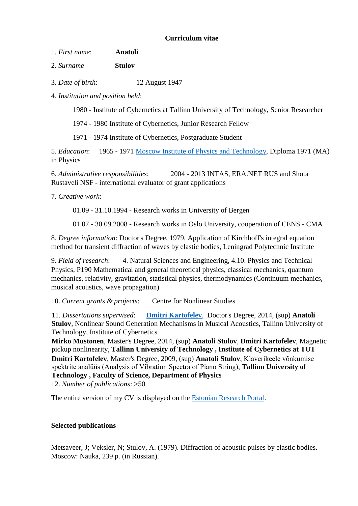## **Curriculum vitae**

1. *First name*: **Anatoli**

2. *Surname* **Stulov**

3. *Date of birth*: 12 August 1947

4. *Institution and position held*:

1980 - Institute of Cybernetics at Tallinn University of Technology, Senior Researcher

1974 - 1980 Institute of Cybernetics, Junior Research Fellow

1971 - 1974 Institute of Cybernetics, Postgraduate Student

5. *Education*: 1965 - 1971 [Moscow Institute of Physics and Technology,](http://mipt.ru/index.html) Diploma 1971 (MA) in Physics

6. *Administrative responsibilities*: 2004 - 2013 INTAS, ERA.NET RUS and Shota Rustaveli NSF - international evaluator of grant applications

7. *Creative work*:

01.09 - 31.10.1994 - Research works in University of Bergen

01.07 - 30.09.2008 - Research works in Oslo University, cooperation of CENS - CMA

8. *Degree information*: Doctor's Degree, 1979, Application of Kirchhoff's integral equation method for transient diffraction of waves by elastic bodies, Leningrad Polytechnic Institute

9. *Field of research*: 4. Natural Sciences and Engineering, 4.10. Physics and Technical Physics, P190 Mathematical and general theoretical physics, classical mechanics, quantum mechanics, relativity, gravitation, statistical physics, thermodynamics (Continuum mechanics, musical acoustics, wave propagation)

10. *Current grants & projects*: Centre for Nonlinear Studies

11. *Dissertations supervised*: **[Dmitri Kartofelev](http://www.cs.ioc.ee/~dima/)**, Doctor's Degree, 2014, (sup) **Anatoli Stulov**, Nonlinear Sound Generation Mechanisms in Musical Acoustics, Tallinn University of Technology, Institute of Cybernetics

**Mirko Mustonen**, Master's Degree, 2014, (sup) **Anatoli Stulov**, **Dmitri Kartofelev**, Magnetic pickup nonlinearity, **Tallinn University of Technology , Institute of Cybernetics at TUT Dmitri Kartofelev**, Master's Degree, 2009, (sup) **Anatoli Stulov**, Klaverikeele võnkumise spektrite analüüs (Analysis of Vibration Spectra of Piano String), **Tallinn University of Technology , Faculty of Science, Department of Physics**

12. *Number of publications*: >50

The entire version of my CV is displayed on the [Estonian Research Portal.](https://www.etis.ee/portaal/isikuCV.aspx?LastNameFirstLetter=S&PersonVID=36891&FromUrl0=isikud.aspx&lang=en)

## **Selected publications**

Metsaveer, J; Veksler, N; Stulov, A. (1979). Diffraction of acoustic pulses by elastic bodies. Moscow: Nauka, 239 p. (in Russian).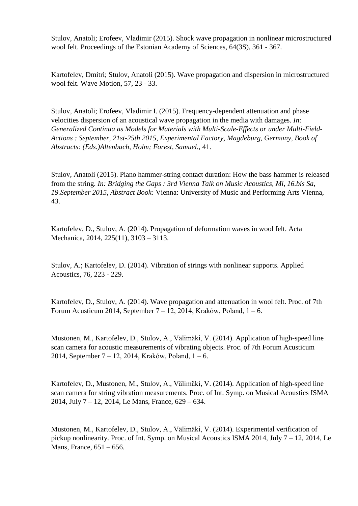Stulov, Anatoli; Erofeev, Vladimir (2015). Shock wave propagation in nonlinear microstructured wool felt. Proceedings of the Estonian Academy of Sciences, 64(3S), 361 - 367.

Kartofelev, Dmitri; Stulov, Anatoli (2015). Wave propagation and dispersion in microstructured wool felt. Wave Motion, 57, 23 - 33.

Stulov, Anatoli; Erofeev, Vladimir I. (2015). Frequency-dependent attenuation and phase velocities dispersion of an acoustical wave propagation in the media with damages. *In: Generalized Continua as Models for Materials with Multi-Scale-Effects or under Multi-Field-Actions : September, 21st-25th 2015, Experimental Factory, Magdeburg, Germany, Book of Abstracts: (Eds.)Altenbach, Holm; Forest, Samuel.*, 41.

Stulov, Anatoli (2015). Piano hammer-string contact duration: How the bass hammer is released from the string. *In: Bridging the Gaps : 3rd Vienna Talk on Music Acoustics, Mi, 16.bis Sa, 19.September 2015, Abstract Book:* Vienna: University of Music and Performing Arts Vienna, 43.

Kartofelev, D., Stulov, A. (2014). Propagation of deformation waves in wool felt. Acta Mechanica, 2014, 225(11), 3103 – 3113.

Stulov, A.; Kartofelev, D. (2014). Vibration of strings with nonlinear supports. Applied Acoustics, 76, 223 - 229.

Kartofelev, D., Stulov, A. (2014). Wave propagation and attenuation in wool felt. Proc. of 7th Forum Acusticum 2014, September  $7 - 12$ , 2014, Kraków, Poland,  $1 - 6$ .

Mustonen, M., Kartofelev, D., Stulov, A., Välimäki, V. (2014). Application of high-speed line scan camera for acoustic measurements of vibrating objects. Proc. of 7th Forum Acusticum 2014, September 7 – 12, 2014, Kraków, Poland, 1 – 6.

Kartofelev, D., Mustonen, M., Stulov, A., Välimäki, V. (2014). Application of high-speed line scan camera for string vibration measurements. Proc. of Int. Symp. on Musical Acoustics ISMA 2014, July 7 – 12, 2014, Le Mans, France, 629 – 634.

Mustonen, M., Kartofelev, D., Stulov, A., Välimäki, V. (2014). Experimental verification of pickup nonlinearity. Proc. of Int. Symp. on Musical Acoustics ISMA 2014, July 7 – 12, 2014, Le Mans, France, 651 – 656.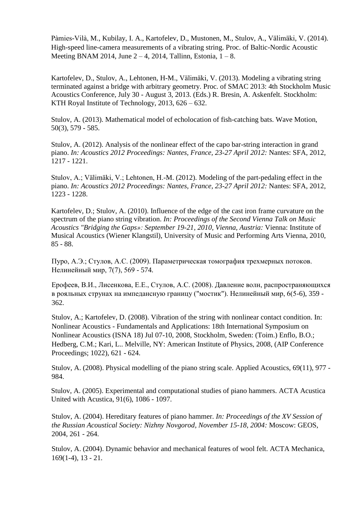Pàmies-Vilà, M., Kubilay, I. A., Kartofelev, D., Mustonen, M., Stulov, A., Välimäki, V. (2014). High-speed line-camera measurements of a vibrating string. Proc. of Baltic-Nordic Acoustic Meeting BNAM 2014, June  $2-4$ , 2014, Tallinn, Estonia,  $1-8$ .

Kartofelev, D., Stulov, A., Lehtonen, H-M., Välimäki, V. (2013). Modeling a vibrating string terminated against a bridge with arbitrary geometry. Proc. of SMAC 2013: 4th Stockholm Music Acoustics Conference, July 30 - August 3, 2013. (Eds.) R. Bresin, A. Askenfelt. Stockholm: KTH Royal Institute of Technology, 2013, 626 – 632.

Stulov, A. (2013). Mathematical model of echolocation of fish-catching bats. Wave Motion, 50(3), 579 - 585.

Stulov, A. (2012). Analysis of the nonlinear effect of the capo bar-string interaction in grand piano. *In: Acoustics 2012 Proceedings: Nantes, France, 23-27 April 2012:* Nantes: SFA, 2012, 1217 - 1221.

Stulov, A.; Välimäki, V.; Lehtonen, H.-M. (2012). Modeling of the part-pedaling effect in the piano. *In: Acoustics 2012 Proceedings: Nantes, France, 23-27 April 2012:* Nantes: SFA, 2012, 1223 - 1228.

Kartofelev, D.; Stulov, A. (2010). Influence of the edge of the cast iron frame curvature on the spectrum of the piano string vibration. *In: Proceedings of the Second Vienna Talk on Music Acoustics "Bridging the Gaps»: September 19-21, 2010, Vienna, Austria:* Vienna: Institute of Musical Acoustics (Wiener Klangstil), University of Music and Performing Arts Vienna, 2010, 85 - 88.

Пуро, А.Э.; Стулов, А.С. (2009). Параметрическая томография трехмерных потоков. Нелинейный мир, 7(7), 569 - 574.

Ерофеев, В.И., Лисенкова, Е.Е., Стулов, А.С. (2008). Давление волн, распространяющихся в рояльных струнах на импедансную границу ("мостик"). Нелинейный мир, 6(5-6), 359 - 362.

Stulov, A.; Kartofelev, D. (2008). Vibration of the string with nonlinear contact condition. In: Nonlinear Acoustics - Fundamentals and Applications: 18th International Symposium on Nonlinear Acoustics (ISNA 18) Jul 07-10, 2008, Stockholm, Sweden: (Toim.) Enflo, B.O.; Hedberg, C.M.; Kari, L.. Melville, NY: American Institute of Physics, 2008, (AIP Conference Proceedings; 1022), 621 - 624.

Stulov, A. (2008). Physical modelling of the piano string scale. Applied Acoustics, 69(11), 977 - 984.

Stulov, A. (2005). Experimental and computational studies of piano hammers. ACTA Acustica United with Acustica, 91(6), 1086 - 1097.

Stulov, A. (2004). Hereditary features of piano hammer. *In: Proceedings of the XV Session of the Russian Acoustical Society: Nizhny Novgorod, November 15-18, 2004:* Moscow: GEOS, 2004, 261 - 264.

Stulov, A. (2004). Dynamic behavior and mechanical features of wool felt. ACTA Mechanica, 169(1-4), 13 - 21.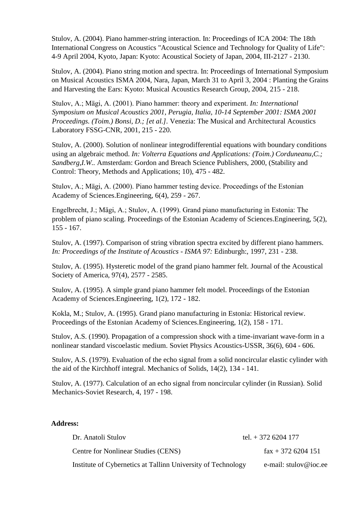Stulov, A. (2004). Piano hammer-string interaction. In: Proceedings of ICA 2004: The 18th International Congress on Acoustics "Acoustical Science and Technology for Quality of Life": 4-9 April 2004, Kyoto, Japan: Kyoto: Acoustical Society of Japan, 2004, III-2127 - 2130.

Stulov, A. (2004). Piano string motion and spectra. In: Proceedings of International Symposium on Musical Acoustics ISMA 2004, Nara, Japan, March 31 to April 3, 2004 : Planting the Grains and Harvesting the Ears: Kyoto: Musical Acoustics Research Group, 2004, 215 - 218.

Stulov, A.; Mägi, A. (2001). Piano hammer: theory and experiment. *In: International Symposium on Musical Acoustics 2001, Perugia, Italia, 10-14 September 2001: ISMA 2001 Proceedings. (Toim.) Bonsi, D.; [et al.].* Venezia: The Musical and Architectural Acoustics Laboratory FSSG-CNR, 2001, 215 - 220.

Stulov, A. (2000). Solution of nonlinear integrodifferential equations with boundary conditions using an algebraic method. *In: Volterra Equations and Applications: (Toim.) Corduneanu,C.; Sandberg,I.W..* Amsterdam: Gordon and Breach Science Publishers, 2000, (Stability and Control: Theory, Methods and Applications; 10), 475 - 482.

Stulov, A.; Mägi, A. (2000). Piano hammer testing device. Proceedings of the Estonian Academy of Sciences.Engineering, 6(4), 259 - 267.

Engelbrecht, J.; Mägi, A.; Stulov, A. (1999). Grand piano manufacturing in Estonia: The problem of piano scaling. Proceedings of the Estonian Academy of Sciences.Engineering, 5(2), 155 - 167.

Stulov, A. (1997). Comparison of string vibration spectra excited by different piano hammers. *In: Proceedings of the Institute of Acoustics - ISMA 97:* Edinburgh:, 1997, 231 - 238.

Stulov, A. (1995). Hysteretic model of the grand piano hammer felt. Journal of the Acoustical Society of America, 97(4), 2577 - 2585.

Stulov, A. (1995). A simple grand piano hammer felt model. Proceedings of the Estonian Academy of Sciences.Engineering, 1(2), 172 - 182.

Kokla, M.; Stulov, A. (1995). Grand piano manufacturing in Estonia: Historical review. Proceedings of the Estonian Academy of Sciences.Engineering, 1(2), 158 - 171.

Stulov, A.S. (1990). Propagation of a compression shock with a time-invariant wave-form in a nonlinear standard viscoelastic medium. Soviet Physics Acoustics-USSR, 36(6), 604 - 606.

Stulov, A.S. (1979). Evaluation of the echo signal from a solid noncircular elastic cylinder with the aid of the Kirchhoff integral. Mechanics of Solids, 14(2), 134 - 141.

Stulov, A. (1977). Calculation of an echo signal from noncircular cylinder (in Russian). Solid Mechanics-Soviet Research, 4, 197 - 198.

## **Address:**

| Dr. Anatoli Stulov                                           | tel. $+$ 372 6204 177     |
|--------------------------------------------------------------|---------------------------|
| Centre for Nonlinear Studies (CENS)                          | $\text{fax} + 3726204151$ |
| Institute of Cybernetics at Tallinn University of Technology | e-mail: stulov@ioc.ee     |